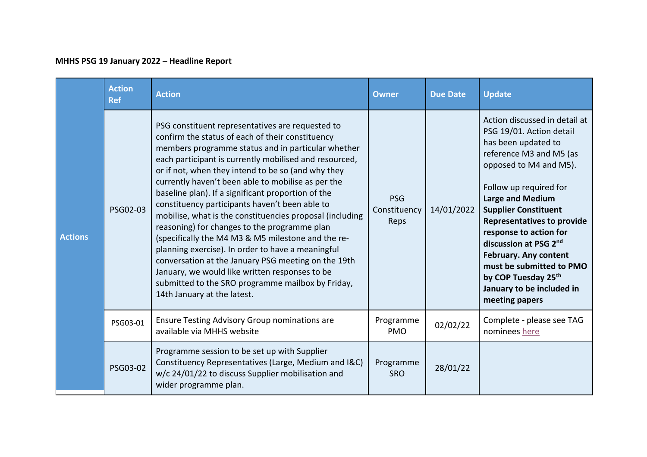## **MHHS PSG 19 January 2022 – Headline Report**

| <b>Actions</b> | <b>Action</b><br><b>Ref</b> | <b>Action</b>                                                                                                                                                                                                                                                                                                                                                                                                                                                                                                                                                                                                                                                                                                                                                                                                                                                | <b>Owner</b>                       | <b>Due Date</b> | <b>Update</b>                                                                                                                                                                                                                                                                                                                                                                                                                                       |
|----------------|-----------------------------|--------------------------------------------------------------------------------------------------------------------------------------------------------------------------------------------------------------------------------------------------------------------------------------------------------------------------------------------------------------------------------------------------------------------------------------------------------------------------------------------------------------------------------------------------------------------------------------------------------------------------------------------------------------------------------------------------------------------------------------------------------------------------------------------------------------------------------------------------------------|------------------------------------|-----------------|-----------------------------------------------------------------------------------------------------------------------------------------------------------------------------------------------------------------------------------------------------------------------------------------------------------------------------------------------------------------------------------------------------------------------------------------------------|
|                | PSG02-03                    | PSG constituent representatives are requested to<br>confirm the status of each of their constituency<br>members programme status and in particular whether<br>each participant is currently mobilised and resourced,<br>or if not, when they intend to be so (and why they<br>currently haven't been able to mobilise as per the<br>baseline plan). If a significant proportion of the<br>constituency participants haven't been able to<br>mobilise, what is the constituencies proposal (including<br>reasoning) for changes to the programme plan<br>(specifically the M4 M3 & M5 milestone and the re-<br>planning exercise). In order to have a meaningful<br>conversation at the January PSG meeting on the 19th<br>January, we would like written responses to be<br>submitted to the SRO programme mailbox by Friday,<br>14th January at the latest. | <b>PSG</b><br>Constituency<br>Reps | 14/01/2022      | Action discussed in detail at<br>PSG 19/01. Action detail<br>has been updated to<br>reference M3 and M5 (as<br>opposed to M4 and M5).<br>Follow up required for<br><b>Large and Medium</b><br><b>Supplier Constituent</b><br><b>Representatives to provide</b><br>response to action for<br>discussion at PSG 2nd<br><b>February. Any content</b><br>must be submitted to PMO<br>by COP Tuesday 25th<br>January to be included in<br>meeting papers |
|                | PSG03-01                    | Ensure Testing Advisory Group nominations are<br>available via MHHS website                                                                                                                                                                                                                                                                                                                                                                                                                                                                                                                                                                                                                                                                                                                                                                                  | Programme<br><b>PMO</b>            | 02/02/22        | Complete - please see TAG<br>nominees here                                                                                                                                                                                                                                                                                                                                                                                                          |
|                | PSG03-02                    | Programme session to be set up with Supplier<br>Constituency Representatives (Large, Medium and I&C)<br>w/c 24/01/22 to discuss Supplier mobilisation and<br>wider programme plan.                                                                                                                                                                                                                                                                                                                                                                                                                                                                                                                                                                                                                                                                           | Programme<br><b>SRO</b>            | 28/01/22        |                                                                                                                                                                                                                                                                                                                                                                                                                                                     |